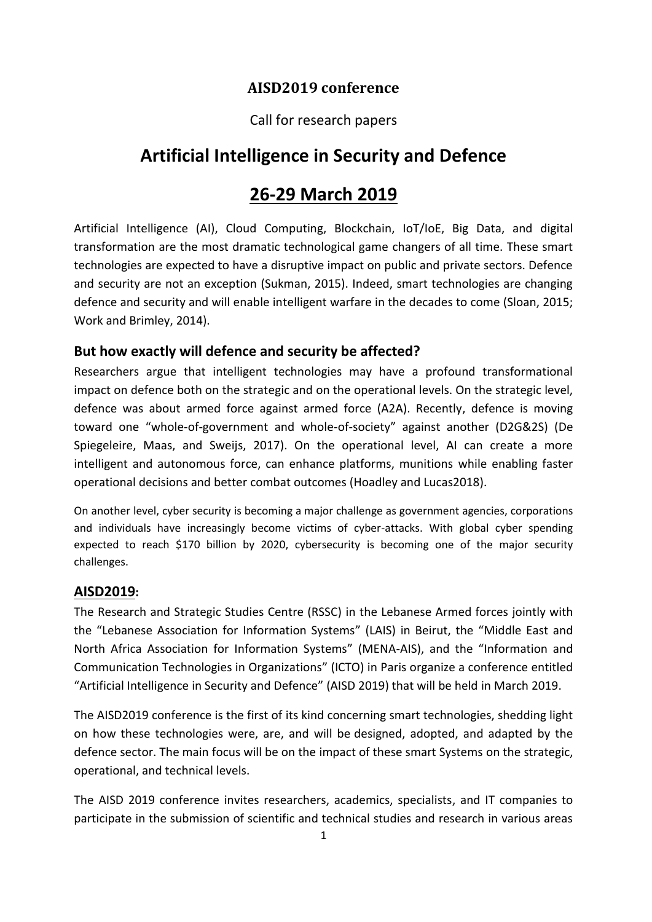## **AISD2019 conference**

### Call for research papers

# **Artificial Intelligence in Security and Defence**

# **26-29 March 2019**

Artificial Intelligence (AI), Cloud Computing, Blockchain, IoT/IoE, Big Data, and digital transformation are the most dramatic technological game changers of all time. These smart technologies are expected to have a disruptive impact on public and private sectors. Defence and security are not an exception (Sukman, 2015). Indeed, smart technologies are changing defence and security and will enable intelligent warfare in the decades to come (Sloan, 2015; Work and Brimley, 2014).

### **But how exactly will defence and security be affected?**

Researchers argue that intelligent technologies may have a profound transformational impact on defence both on the strategic and on the operational levels. On the strategic level, defence was about armed force against armed force (A2A). Recently, defence is moving toward one "whole-of-government and whole-of-society" against another (D2G&2S) (De Spiegeleire, Maas, and Sweijs, 2017). On the operational level, AI can create a more intelligent and autonomous force, can enhance platforms, munitions while enabling faster operational decisions and better combat outcomes (Hoadley and Lucas2018).

On another level, cyber security is becoming a major challenge as government agencies, corporations and individuals have increasingly become victims of cyber-attacks. With global cyber spending expected to reach \$170 billion by 2020, cybersecurity is becoming one of the major security challenges.

#### **AISD2019:**

The Research and Strategic Studies Centre (RSSC) in the Lebanese Armed forces jointly with the "Lebanese Association for Information Systems" (LAIS) in Beirut, the "Middle East and North Africa Association for Information Systems" (MENA-AIS), and the "Information and Communication Technologies in Organizations" (ICTO) in Paris organize a conference entitled "Artificial Intelligence in Security and Defence" (AISD 2019) that will be held in March 2019.

The AISD2019 conference is the first of its kind concerning smart technologies, shedding light on how these technologies were, are, and will be designed, adopted, and adapted by the defence sector. The main focus will be on the impact of these smart Systems on the strategic, operational, and technical levels.

The AISD 2019 conference invites researchers, academics, specialists, and IT companies to participate in the submission of scientific and technical studies and research in various areas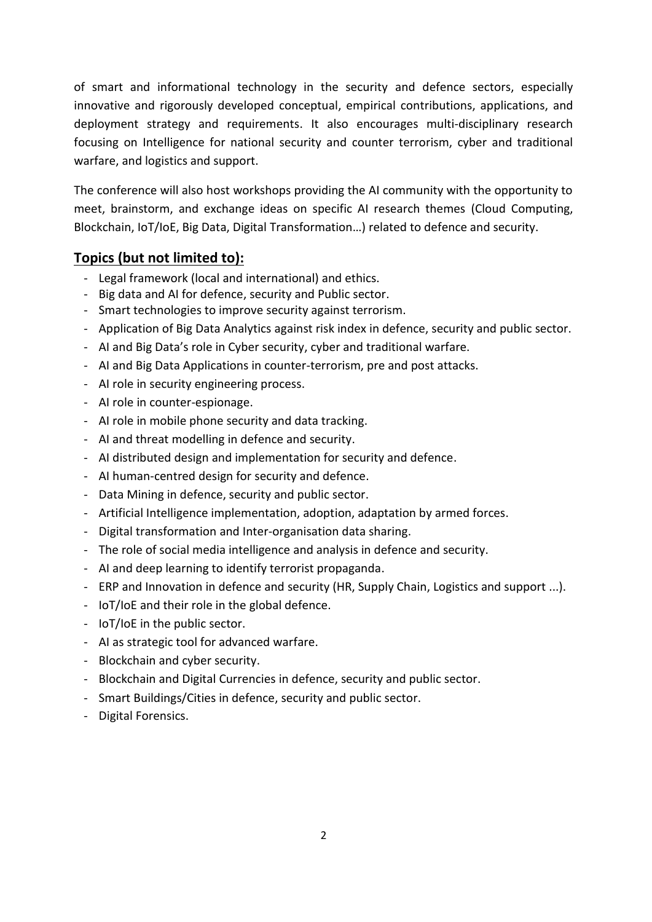of smart and informational technology in the security and defence sectors, especially innovative and rigorously developed conceptual, empirical contributions, applications, and deployment strategy and requirements. It also encourages multi-disciplinary research focusing on Intelligence for national security and counter terrorism, cyber and traditional warfare, and logistics and support.

The conference will also host workshops providing the AI community with the opportunity to meet, brainstorm, and exchange ideas on specific AI research themes (Cloud Computing, Blockchain, IoT/IoE, Big Data, Digital Transformation…) related to defence and security.

### **Topics (but not limited to):**

- Legal framework (local and international) and ethics.
- Big data and AI for defence, security and Public sector.
- Smart technologies to improve security against terrorism.
- Application of Big Data Analytics against risk index in defence, security and public sector.
- AI and Big Data's role in Cyber security, cyber and traditional warfare.
- AI and Big Data Applications in counter-terrorism, pre and post attacks.
- AI role in security engineering process.
- AI role in counter-espionage.
- AI role in mobile phone security and data tracking.
- AI and threat modelling in defence and security.
- AI distributed design and implementation for security and defence.
- AI human-centred design for security and defence.
- Data Mining in defence, security and public sector.
- Artificial Intelligence implementation, adoption, adaptation by armed forces.
- Digital transformation and Inter-organisation data sharing.
- The role of social media intelligence and analysis in defence and security.
- AI and deep learning to identify terrorist propaganda.
- ERP and Innovation in defence and security (HR, Supply Chain, Logistics and support ...).
- IoT/IoE and their role in the global defence.
- IoT/IoE in the public sector.
- AI as strategic tool for advanced warfare.
- Blockchain and cyber security.
- Blockchain and Digital Currencies in defence, security and public sector.
- Smart Buildings/Cities in defence, security and public sector.
- Digital Forensics.